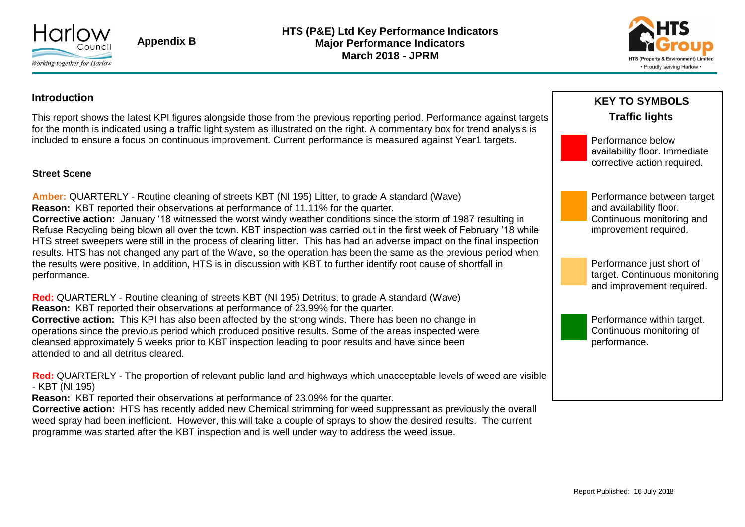

**Appendix B**

**HTS (P&E) Ltd Key Performance Indicators Major Performance Indicators March 2018 - JPRM**



#### **Introduction**

This report shows the latest KPI figures alongside those from the previous reporting period. Performance against targets for the month is indicated using a traffic light system as illustrated on the right. A commentary box for trend analysis is included to ensure a focus on continuous improvement. Current performance is measured against Year1 targets.

#### **Street Scene**

**Amber:** QUARTERLY - Routine cleaning of streets KBT (NI 195) Litter, to grade A standard (Wave) **Reason:** KBT reported their observations at performance of 11.11% for the quarter. **Corrective action:** January '18 witnessed the worst windy weather conditions since the storm of 1987 resulting in Refuse Recycling being blown all over the town. KBT inspection was carried out in the first week of February '18 while HTS street sweepers were still in the process of clearing litter. This has had an adverse impact on the final inspection results. HTS has not changed any part of the Wave, so the operation has been the same as the previous period when the results were positive. In addition, HTS is in discussion with KBT to further identify root cause of shortfall in performance.

**Red:** QUARTERLY - Routine cleaning of streets KBT (NI 195) Detritus, to grade A standard (Wave) **Reason:** KBT reported their observations at performance of 23.99% for the quarter.

**Corrective action:** This KPI has also been affected by the strong winds. There has been no change in operations since the previous period which produced positive results. Some of the areas inspected were cleansed approximately 5 weeks prior to KBT inspection leading to poor results and have since been attended to and all detritus cleared.

**Red:** QUARTERLY - The proportion of relevant public land and highways which unacceptable levels of weed are visible - KBT (NI 195)

**Reason:** KBT reported their observations at performance of 23.09% for the quarter.

**Corrective action:** HTS has recently added new Chemical strimming for weed suppressant as previously the overall weed spray had been inefficient. However, this will take a couple of sprays to show the desired results. The current programme was started after the KBT inspection and is well under way to address the weed issue.

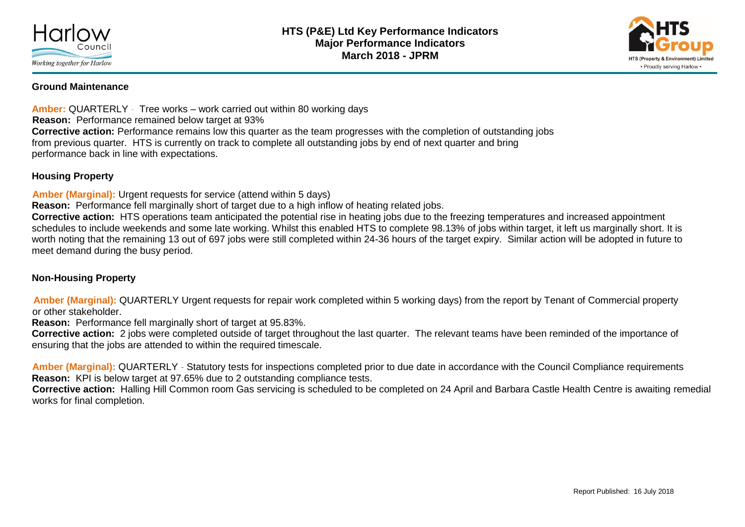



#### **Ground Maintenance**

**Amber:** QUARTERLY - Tree works – work carried out within 80 working days **Reason:** Performance remained below target at 93% **Corrective action:** Performance remains low this quarter as the team progresses with the completion of outstanding jobs from previous quarter. HTS is currently on track to complete all outstanding jobs by end of next quarter and bring performance back in line with expectations.

#### **Housing Property**

**Amber (Marginal):** Urgent requests for service (attend within 5 days)

**Reason:** Performance fell marginally short of target due to a high inflow of heating related jobs.

**Corrective action:** HTS operations team anticipated the potential rise in heating jobs due to the freezing temperatures and increased appointment schedules to include weekends and some late working. Whilst this enabled HTS to complete 98.13% of jobs within target, it left us marginally short. It is worth noting that the remaining 13 out of 697 jobs were still completed within 24-36 hours of the target expiry. Similar action will be adopted in future to meet demand during the busy period.

#### **Non-Housing Property**

**Amber (Marginal):** QUARTERLY Urgent requests for repair work completed within 5 working days) from the report by Tenant of Commercial property or other stakeholder.

**Reason:** Performance fell marginally short of target at 95.83%.

**Corrective action:** 2 jobs were completed outside of target throughout the last quarter. The relevant teams have been reminded of the importance of ensuring that the jobs are attended to within the required timescale.

**Amber (Marginal):** QUARTERLY - Statutory tests for inspections completed prior to due date in accordance with the Council Compliance requirements **Reason:** KPI is below target at 97.65% due to 2 outstanding compliance tests.

**Corrective action:** Halling Hill Common room Gas servicing is scheduled to be completed on 24 April and Barbara Castle Health Centre is awaiting remedial works for final completion.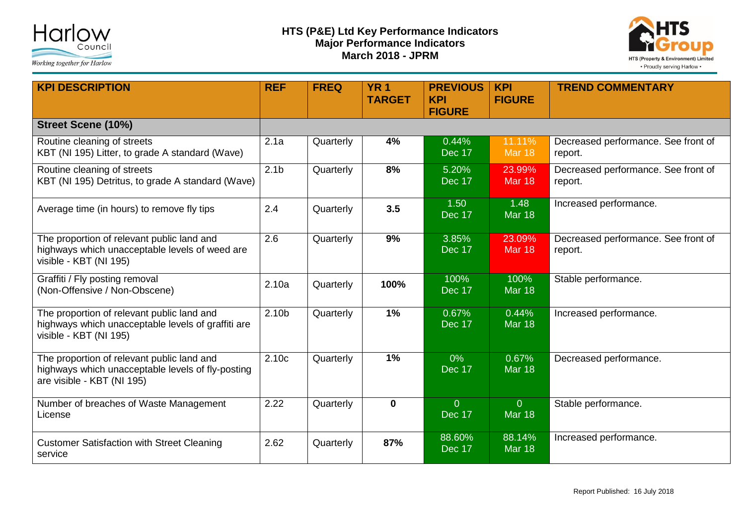



| <b>KPI DESCRIPTION</b>                                                                                                        | <b>REF</b>        | <b>FREQ</b> | <b>YR 1</b><br><b>TARGET</b> | <b>PREVIOUS</b><br><b>KPI</b><br><b>FIGURE</b> | <b>KPI</b><br><b>FIGURE</b>     | <b>TREND COMMENTARY</b>                        |
|-------------------------------------------------------------------------------------------------------------------------------|-------------------|-------------|------------------------------|------------------------------------------------|---------------------------------|------------------------------------------------|
| <b>Street Scene (10%)</b>                                                                                                     |                   |             |                              |                                                |                                 |                                                |
| Routine cleaning of streets<br>KBT (NI 195) Litter, to grade A standard (Wave)                                                | 2.1a              | Quarterly   | 4%                           | 0.44%<br>Dec 17                                | 11.11%<br><b>Mar 18</b>         | Decreased performance. See front of<br>report. |
| Routine cleaning of streets<br>KBT (NI 195) Detritus, to grade A standard (Wave)                                              | 2.1 <sub>b</sub>  | Quarterly   | 8%                           | 5.20%<br>Dec 17                                | 23.99%<br><b>Mar 18</b>         | Decreased performance. See front of<br>report. |
| Average time (in hours) to remove fly tips                                                                                    | 2.4               | Quarterly   | 3.5                          | 1.50<br>Dec 17                                 | 1.48<br><b>Mar 18</b>           | Increased performance.                         |
| The proportion of relevant public land and<br>highways which unacceptable levels of weed are<br>visible - KBT (NI 195)        | 2.6               | Quarterly   | 9%                           | 3.85%<br>Dec 17                                | 23.09%<br><b>Mar 18</b>         | Decreased performance. See front of<br>report. |
| Graffiti / Fly posting removal<br>(Non-Offensive / Non-Obscene)                                                               | 2.10a             | Quarterly   | 100%                         | 100%<br>Dec 17                                 | 100%<br><b>Mar 18</b>           | Stable performance.                            |
| The proportion of relevant public land and<br>highways which unacceptable levels of graffiti are<br>visible - KBT (NI 195)    | 2.10 <sub>b</sub> | Quarterly   | 1%                           | 0.67%<br>Dec 17                                | 0.44%<br><b>Mar 18</b>          | Increased performance.                         |
| The proportion of relevant public land and<br>highways which unacceptable levels of fly-posting<br>are visible - KBT (NI 195) | 2.10c             | Quarterly   | 1%                           | $0\%$<br><b>Dec 17</b>                         | 0.67%<br><b>Mar 18</b>          | Decreased performance.                         |
| Number of breaches of Waste Management<br>License                                                                             | 2.22              | Quarterly   | $\mathbf 0$                  | $\overline{0}$<br>Dec 17                       | $\overline{0}$<br><b>Mar 18</b> | Stable performance.                            |
| <b>Customer Satisfaction with Street Cleaning</b><br>service                                                                  | 2.62              | Quarterly   | 87%                          | 88.60%<br>Dec 17                               | 88.14%<br><b>Mar 18</b>         | Increased performance.                         |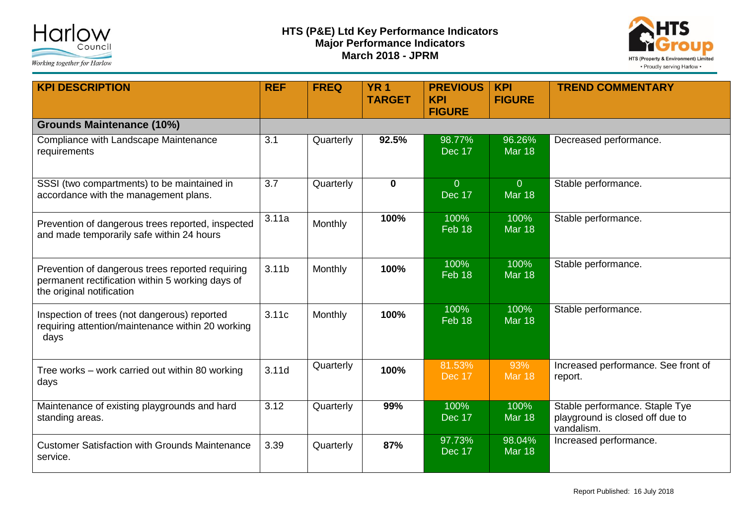



| <b>KPI DESCRIPTION</b>                                                                                                            | <b>REF</b>       | <b>FREQ</b> | <b>YR 1</b><br><b>TARGET</b> | <b>PREVIOUS</b><br><b>KPI</b><br><b>FIGURE</b> | <b>KPI</b><br><b>FIGURE</b>     | <b>TREND COMMENTARY</b>                                                         |
|-----------------------------------------------------------------------------------------------------------------------------------|------------------|-------------|------------------------------|------------------------------------------------|---------------------------------|---------------------------------------------------------------------------------|
| <b>Grounds Maintenance (10%)</b>                                                                                                  |                  |             |                              |                                                |                                 |                                                                                 |
| Compliance with Landscape Maintenance<br>requirements                                                                             | 3.1              | Quarterly   | 92.5%                        | 98.77%<br>Dec 17                               | 96.26%<br><b>Mar 18</b>         | Decreased performance.                                                          |
| SSSI (two compartments) to be maintained in<br>accordance with the management plans.                                              | $\overline{3.7}$ | Quarterly   | $\mathbf 0$                  | $\overline{0}$<br>Dec 17                       | $\overline{0}$<br><b>Mar 18</b> | Stable performance.                                                             |
| Prevention of dangerous trees reported, inspected<br>and made temporarily safe within 24 hours                                    | 3.11a            | Monthly     | 100%                         | 100%<br>Feb 18                                 | 100%<br><b>Mar 18</b>           | Stable performance.                                                             |
| Prevention of dangerous trees reported requiring<br>permanent rectification within 5 working days of<br>the original notification | 3.11b            | Monthly     | 100%                         | 100%<br>Feb 18                                 | 100%<br><b>Mar 18</b>           | Stable performance.                                                             |
| Inspection of trees (not dangerous) reported<br>requiring attention/maintenance within 20 working<br>days                         | 3.11c            | Monthly     | 100%                         | 100%<br>$Feb$ 18                               | 100%<br><b>Mar 18</b>           | Stable performance.                                                             |
| Tree works – work carried out within 80 working<br>days                                                                           | 3.11d            | Quarterly   | 100%                         | 81.53%<br>$\overline{D}$ ec 17                 | 93%<br><b>Mar 18</b>            | Increased performance. See front of<br>report.                                  |
| Maintenance of existing playgrounds and hard<br>standing areas.                                                                   | 3.12             | Quarterly   | 99%                          | 100%<br>Dec 17                                 | 100%<br><b>Mar 18</b>           | Stable performance. Staple Tye<br>playground is closed off due to<br>vandalism. |
| <b>Customer Satisfaction with Grounds Maintenance</b><br>service.                                                                 | 3.39             | Quarterly   | 87%                          | 97.73%<br>Dec 17                               | 98.04%<br><b>Mar 18</b>         | Increased performance.                                                          |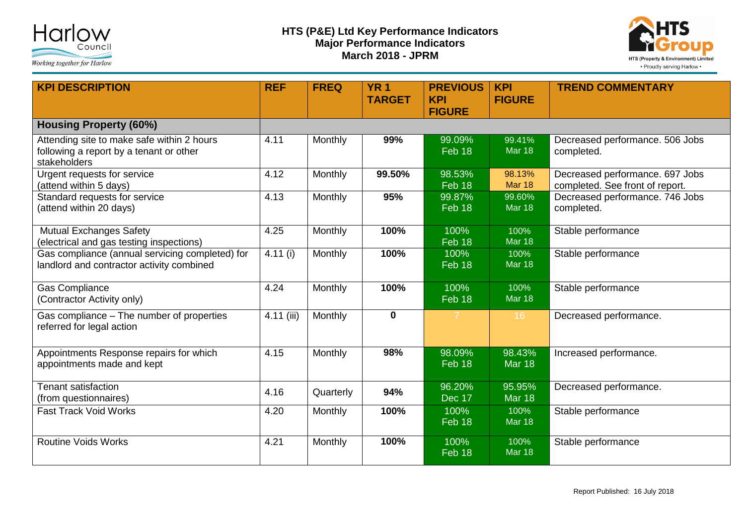



| <b>KPI DESCRIPTION</b>                                                                                | <b>REF</b>              | <b>FREQ</b> | <b>YR 1</b><br><b>TARGET</b> | <b>PREVIOUS</b><br><b>KPI</b> | <b>KPI</b><br><b>FIGURE</b> | <b>TREND COMMENTARY</b>                                            |
|-------------------------------------------------------------------------------------------------------|-------------------------|-------------|------------------------------|-------------------------------|-----------------------------|--------------------------------------------------------------------|
|                                                                                                       |                         |             |                              | <b>FIGURE</b>                 |                             |                                                                    |
| <b>Housing Property (60%)</b>                                                                         |                         |             |                              |                               |                             |                                                                    |
| Attending site to make safe within 2 hours<br>following a report by a tenant or other<br>stakeholders | 4.11                    | Monthly     | 99%                          | 99.09%<br>$Feb$ 18            | 99.41%<br><b>Mar 18</b>     | Decreased performance. 506 Jobs<br>completed.                      |
| Urgent requests for service<br>(attend within 5 days)                                                 | 4.12                    | Monthly     | 99.50%                       | 98.53%<br>Feb 18              | 98.13%<br><b>Mar 18</b>     | Decreased performance. 697 Jobs<br>completed. See front of report. |
| Standard requests for service<br>(attend within 20 days)                                              | 4.13                    | Monthly     | 95%                          | 99.87%<br>Feb 18              | 99.60%<br><b>Mar 18</b>     | Decreased performance. 746 Jobs<br>completed.                      |
| <b>Mutual Exchanges Safety</b><br>(electrical and gas testing inspections)                            | 4.25                    | Monthly     | 100%                         | 100%<br>Feb 18                | 100%<br><b>Mar 18</b>       | Stable performance                                                 |
| Gas compliance (annual servicing completed) for<br>landlord and contractor activity combined          | $\overline{4.11}$ (i)   | Monthly     | 100%                         | 100%<br>Feb 18                | 100%<br><b>Mar 18</b>       | Stable performance                                                 |
| <b>Gas Compliance</b><br>(Contractor Activity only)                                                   | 4.24                    | Monthly     | 100%                         | 100%<br>Feb 18                | 100%<br><b>Mar 18</b>       | Stable performance                                                 |
| Gas compliance - The number of properties<br>referred for legal action                                | $\overline{4.11}$ (iii) | Monthly     | $\mathbf 0$                  | $\overline{7}$                | 16                          | Decreased performance.                                             |
| Appointments Response repairs for which<br>appointments made and kept                                 | 4.15                    | Monthly     | 98%                          | 98.09%<br>Feb 18              | 98.43%<br><b>Mar 18</b>     | Increased performance.                                             |
| <b>Tenant satisfaction</b><br>(from questionnaires)                                                   | 4.16                    | Quarterly   | 94%                          | 96.20%<br>Dec 17              | 95.95%<br><b>Mar 18</b>     | Decreased performance.                                             |
| <b>Fast Track Void Works</b>                                                                          | 4.20                    | Monthly     | 100%                         | 100%<br>$Feb$ 18              | 100%<br><b>Mar 18</b>       | Stable performance                                                 |
| <b>Routine Voids Works</b>                                                                            | 4.21                    | Monthly     | 100%                         | 100%<br>Feb 18                | 100%<br><b>Mar 18</b>       | Stable performance                                                 |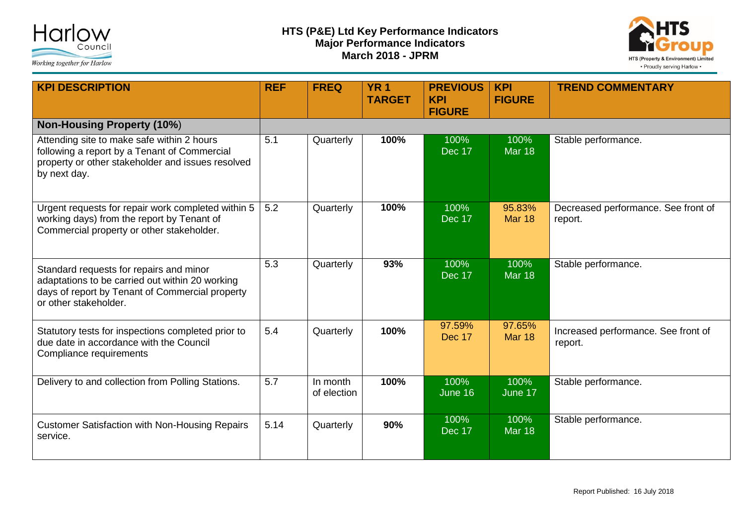



| <b>KPI DESCRIPTION</b>                                                                                                                                                 | <b>REF</b> | <b>FREQ</b>             | <b>YR 1</b><br><b>TARGET</b> | <b>PREVIOUS</b><br><b>KPI</b><br><b>FIGURE</b> | <b>KPI</b><br><b>FIGURE</b> | <b>TREND COMMENTARY</b>                        |
|------------------------------------------------------------------------------------------------------------------------------------------------------------------------|------------|-------------------------|------------------------------|------------------------------------------------|-----------------------------|------------------------------------------------|
| <b>Non-Housing Property (10%)</b>                                                                                                                                      |            |                         |                              |                                                |                             |                                                |
| Attending site to make safe within 2 hours<br>following a report by a Tenant of Commercial<br>property or other stakeholder and issues resolved<br>by next day.        | 5.1        | Quarterly               | 100%                         | 100%<br>Dec 17                                 | 100%<br><b>Mar 18</b>       | Stable performance.                            |
| Urgent requests for repair work completed within 5<br>working days) from the report by Tenant of<br>Commercial property or other stakeholder.                          | 5.2        | Quarterly               | 100%                         | 100%<br>Dec 17                                 | 95.83%<br><b>Mar 18</b>     | Decreased performance. See front of<br>report. |
| Standard requests for repairs and minor<br>adaptations to be carried out within 20 working<br>days of report by Tenant of Commercial property<br>or other stakeholder. | 5.3        | Quarterly               | 93%                          | 100%<br><b>Dec 17</b>                          | 100%<br><b>Mar 18</b>       | Stable performance.                            |
| Statutory tests for inspections completed prior to<br>due date in accordance with the Council<br>Compliance requirements                                               | 5.4        | Quarterly               | 100%                         | 97.59%<br>Dec 17                               | 97.65%<br><b>Mar 18</b>     | Increased performance. See front of<br>report. |
| Delivery to and collection from Polling Stations.                                                                                                                      | 5.7        | In month<br>of election | 100%                         | 100%<br>June 16                                | 100%<br>June 17             | Stable performance.                            |
| <b>Customer Satisfaction with Non-Housing Repairs</b><br>service.                                                                                                      | 5.14       | Quarterly               | 90%                          | 100%<br>Dec 17                                 | 100%<br><b>Mar 18</b>       | Stable performance.                            |